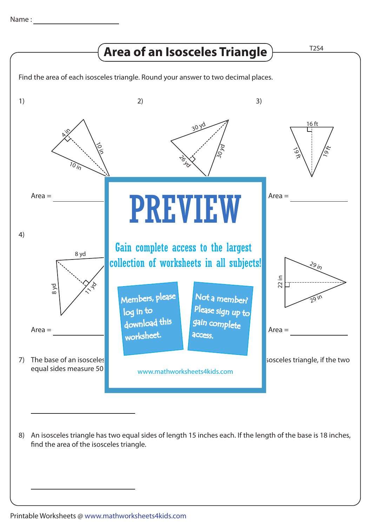

An isosceles triangle has two equal sides of length 15 inches each. If the length of the base is 18 inches, 8) find the area of the isosceles triangle.